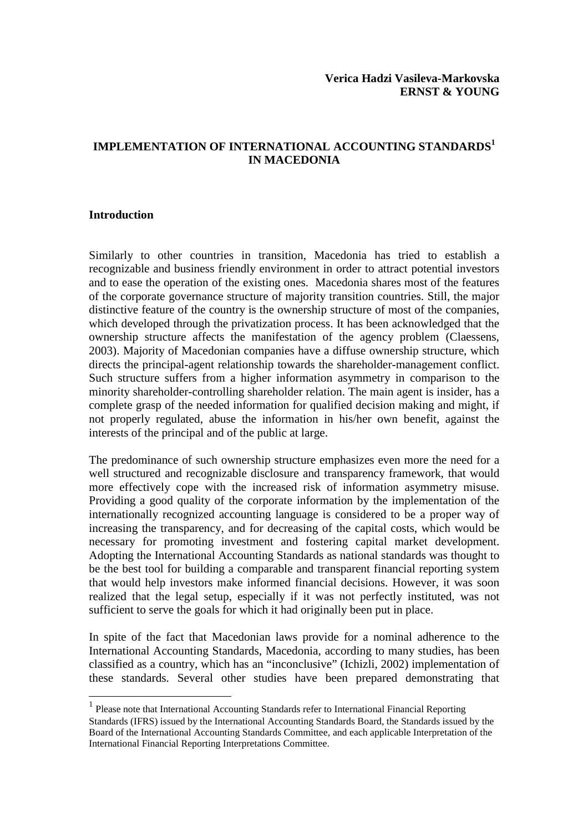# **IMPLEMENTATION OF INTERNATIONAL ACCOUNTING STANDARDS<sup>1</sup> IN MACEDONIA**

### **Introduction**

 $\overline{a}$ 

Similarly to other countries in transition, Macedonia has tried to establish a recognizable and business friendly environment in order to attract potential investors and to ease the operation of the existing ones. Macedonia shares most of the features of the corporate governance structure of majority transition countries. Still, the major distinctive feature of the country is the ownership structure of most of the companies, which developed through the privatization process. It has been acknowledged that the ownership structure affects the manifestation of the agency problem (Claessens, 2003). Majority of Macedonian companies have a diffuse ownership structure, which directs the principal-agent relationship towards the shareholder-management conflict. Such structure suffers from a higher information asymmetry in comparison to the minority shareholder-controlling shareholder relation. The main agent is insider, has a complete grasp of the needed information for qualified decision making and might, if not properly regulated, abuse the information in his/her own benefit, against the interests of the principal and of the public at large.

The predominance of such ownership structure emphasizes even more the need for a well structured and recognizable disclosure and transparency framework, that would more effectively cope with the increased risk of information asymmetry misuse. Providing a good quality of the corporate information by the implementation of the internationally recognized accounting language is considered to be a proper way of increasing the transparency, and for decreasing of the capital costs, which would be necessary for promoting investment and fostering capital market development. Adopting the International Accounting Standards as national standards was thought to be the best tool for building a comparable and transparent financial reporting system that would help investors make informed financial decisions. However, it was soon realized that the legal setup, especially if it was not perfectly instituted, was not sufficient to serve the goals for which it had originally been put in place.

In spite of the fact that Macedonian laws provide for a nominal adherence to the International Accounting Standards, Macedonia, according to many studies, has been classified as a country, which has an "inconclusive" (Ichizli, 2002) implementation of these standards. Several other studies have been prepared demonstrating that

<sup>&</sup>lt;sup>1</sup> Please note that International Accounting Standards refer to International Financial Reporting Standards (IFRS) issued by the International Accounting Standards Board, the Standards issued by the Board of the International Accounting Standards Committee, and each applicable Interpretation of the International Financial Reporting Interpretations Committee.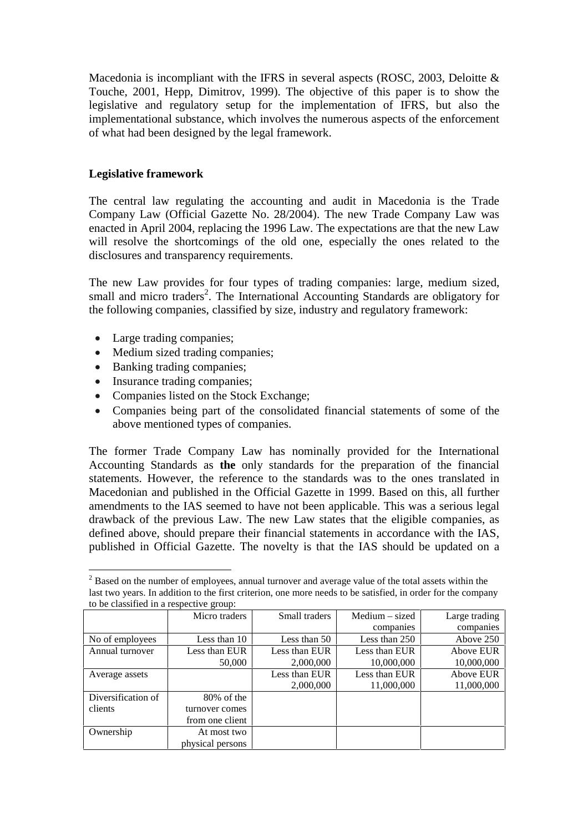Macedonia is incompliant with the IFRS in several aspects (ROSC, 2003, Deloitte & Touche, 2001, Hepp, Dimitrov, 1999). The objective of this paper is to show the legislative and regulatory setup for the implementation of IFRS, but also the implementational substance, which involves the numerous aspects of the enforcement of what had been designed by the legal framework.

# **Legislative framework**

The central law regulating the accounting and audit in Macedonia is the Trade Company Law (Official Gazette No. 28/2004). The new Trade Company Law was enacted in April 2004, replacing the 1996 Law. The expectations are that the new Law will resolve the shortcomings of the old one, especially the ones related to the disclosures and transparency requirements.

The new Law provides for four types of trading companies: large, medium sized, small and micro traders<sup>2</sup>. The International Accounting Standards are obligatory for the following companies, classified by size, industry and regulatory framework:

- Large trading companies;
- Medium sized trading companies;
- Banking trading companies;
- Insurance trading companies;
- Companies listed on the Stock Exchange;
- Companies being part of the consolidated financial statements of some of the above mentioned types of companies.

The former Trade Company Law has nominally provided for the International Accounting Standards as **the** only standards for the preparation of the financial statements. However, the reference to the standards was to the ones translated in Macedonian and published in the Official Gazette in 1999. Based on this, all further amendments to the IAS seemed to have not been applicable. This was a serious legal drawback of the previous Law. The new Law states that the eligible companies, as defined above, should prepare their financial statements in accordance with the IAS, published in Official Gazette. The novelty is that the IAS should be updated on a

 $\overline{a}$  $2^{2}$  Based on the number of employees, annual turnover and average value of the total assets within the last two years. In addition to the first criterion, one more needs to be satisfied, in order for the company to be classified in a respective group:

|                    | Micro traders    | Small traders | $Median - sized$ | Large trading |
|--------------------|------------------|---------------|------------------|---------------|
|                    |                  |               | companies        | companies     |
| No of employees    | Less than 10     | Less than 50  | Less than 250    | Above 250     |
| Annual turnover    | Less than EUR    | Less than EUR | Less than EUR    | Above EUR     |
|                    | 50,000           | 2,000,000     | 10,000,000       | 10,000,000    |
| Average assets     |                  | Less than EUR | Less than EUR    | Above EUR     |
|                    |                  | 2,000,000     | 11,000,000       | 11,000,000    |
| Diversification of | 80% of the       |               |                  |               |
| clients            | turnover comes   |               |                  |               |
|                    | from one client  |               |                  |               |
| Ownership          | At most two      |               |                  |               |
|                    | physical persons |               |                  |               |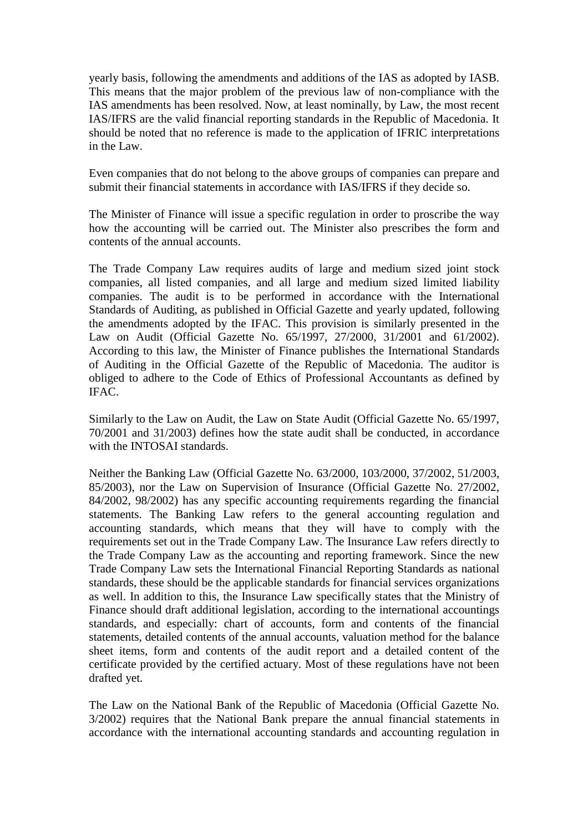yearly basis, following the amendments and additions of the IAS as adopted by IASB. This means that the major problem of the previous law of non-compliance with the IAS amendments has been resolved. Now, at least nominally, by Law, the most recent IAS/IFRS are the valid financial reporting standards in the Republic of Macedonia. It should be noted that no reference is made to the application of IFRIC interpretations in the Law.

Even companies that do not belong to the above groups of companies can prepare and submit their financial statements in accordance with IAS/IFRS if they decide so.

The Minister of Finance will issue a specific regulation in order to proscribe the way how the accounting will be carried out. The Minister also prescribes the form and contents of the annual accounts.

The Trade Company Law requires audits of large and medium sized joint stock companies, all listed companies, and all large and medium sized limited liability companies. The audit is to be performed in accordance with the International Standards of Auditing, as published in Official Gazette and yearly updated, following the amendments adopted by the IFAC. This provision is similarly presented in the Law on Audit (Official Gazette No. 65/1997, 27/2000, 31/2001 and 61/2002). According to this law, the Minister of Finance publishes the International Standards of Auditing in the Official Gazette of the Republic of Macedonia. The auditor is obliged to adhere to the Code of Ethics of Professional Accountants as defined by IFAC.

Similarly to the Law on Audit, the Law on State Audit (Official Gazette No. 65/1997, 70/2001 and 31/2003) defines how the state audit shall be conducted, in accordance with the INTOSAI standards.

Neither the Banking Law (Official Gazette No. 63/2000, 103/2000, 37/2002, 51/2003, 85/2003), nor the Law on Supervision of Insurance (Official Gazette No. 27/2002, 84/2002, 98/2002) has any specific accounting requirements regarding the financial statements. The Banking Law refers to the general accounting regulation and accounting standards, which means that they will have to comply with the requirements set out in the Trade Company Law. The Insurance Law refers directly to the Trade Company Law as the accounting and reporting framework. Since the new Trade Company Law sets the International Financial Reporting Standards as national standards, these should be the applicable standards for financial services organizations as well. In addition to this, the Insurance Law specifically states that the Ministry of Finance should draft additional legislation, according to the international accountings standards, and especially: chart of accounts, form and contents of the financial statements, detailed contents of the annual accounts, valuation method for the balance sheet items, form and contents of the audit report and a detailed content of the certificate provided by the certified actuary. Most of these regulations have not been drafted yet.

The Law on the National Bank of the Republic of Macedonia (Official Gazette No. 3/2002) requires that the National Bank prepare the annual financial statements in accordance with the international accounting standards and accounting regulation in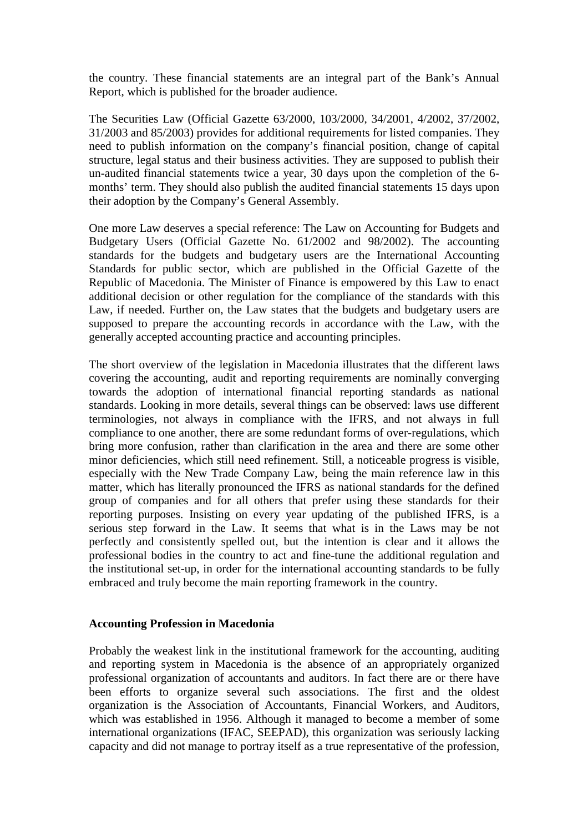the country. These financial statements are an integral part of the Bank's Annual Report, which is published for the broader audience.

The Securities Law (Official Gazette 63/2000, 103/2000, 34/2001, 4/2002, 37/2002, 31/2003 and 85/2003) provides for additional requirements for listed companies. They need to publish information on the company's financial position, change of capital structure, legal status and their business activities. They are supposed to publish their un-audited financial statements twice a year, 30 days upon the completion of the 6 months' term. They should also publish the audited financial statements 15 days upon their adoption by the Company's General Assembly.

One more Law deserves a special reference: The Law on Accounting for Budgets and Budgetary Users (Official Gazette No. 61/2002 and 98/2002). The accounting standards for the budgets and budgetary users are the International Accounting Standards for public sector, which are published in the Official Gazette of the Republic of Macedonia. The Minister of Finance is empowered by this Law to enact additional decision or other regulation for the compliance of the standards with this Law, if needed. Further on, the Law states that the budgets and budgetary users are supposed to prepare the accounting records in accordance with the Law, with the generally accepted accounting practice and accounting principles.

The short overview of the legislation in Macedonia illustrates that the different laws covering the accounting, audit and reporting requirements are nominally converging towards the adoption of international financial reporting standards as national standards. Looking in more details, several things can be observed: laws use different terminologies, not always in compliance with the IFRS, and not always in full compliance to one another, there are some redundant forms of over-regulations, which bring more confusion, rather than clarification in the area and there are some other minor deficiencies, which still need refinement. Still, a noticeable progress is visible, especially with the New Trade Company Law, being the main reference law in this matter, which has literally pronounced the IFRS as national standards for the defined group of companies and for all others that prefer using these standards for their reporting purposes. Insisting on every year updating of the published IFRS, is a serious step forward in the Law. It seems that what is in the Laws may be not perfectly and consistently spelled out, but the intention is clear and it allows the professional bodies in the country to act and fine-tune the additional regulation and the institutional set-up, in order for the international accounting standards to be fully embraced and truly become the main reporting framework in the country.

#### **Accounting Profession in Macedonia**

Probably the weakest link in the institutional framework for the accounting, auditing and reporting system in Macedonia is the absence of an appropriately organized professional organization of accountants and auditors. In fact there are or there have been efforts to organize several such associations. The first and the oldest organization is the Association of Accountants, Financial Workers, and Auditors, which was established in 1956. Although it managed to become a member of some international organizations (IFAC, SEEPAD), this organization was seriously lacking capacity and did not manage to portray itself as a true representative of the profession,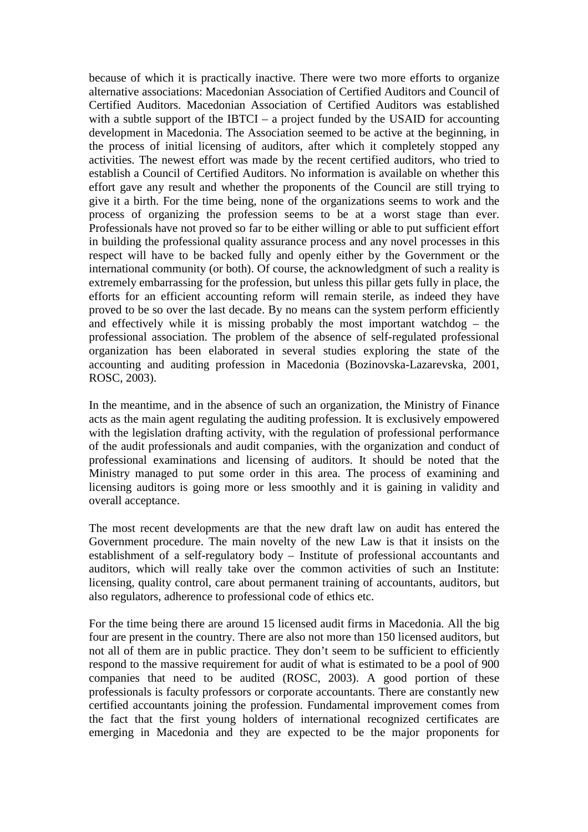because of which it is practically inactive. There were two more efforts to organize alternative associations: Macedonian Association of Certified Auditors and Council of Certified Auditors. Macedonian Association of Certified Auditors was established with a subtle support of the IBTCI – a project funded by the USAID for accounting development in Macedonia. The Association seemed to be active at the beginning, in the process of initial licensing of auditors, after which it completely stopped any activities. The newest effort was made by the recent certified auditors, who tried to establish a Council of Certified Auditors. No information is available on whether this effort gave any result and whether the proponents of the Council are still trying to give it a birth. For the time being, none of the organizations seems to work and the process of organizing the profession seems to be at a worst stage than ever. Professionals have not proved so far to be either willing or able to put sufficient effort in building the professional quality assurance process and any novel processes in this respect will have to be backed fully and openly either by the Government or the international community (or both). Of course, the acknowledgment of such a reality is extremely embarrassing for the profession, but unless this pillar gets fully in place, the efforts for an efficient accounting reform will remain sterile, as indeed they have proved to be so over the last decade. By no means can the system perform efficiently and effectively while it is missing probably the most important watchdog – the professional association. The problem of the absence of self-regulated professional organization has been elaborated in several studies exploring the state of the accounting and auditing profession in Macedonia (Bozinovska-Lazarevska, 2001, ROSC, 2003).

In the meantime, and in the absence of such an organization, the Ministry of Finance acts as the main agent regulating the auditing profession. It is exclusively empowered with the legislation drafting activity, with the regulation of professional performance of the audit professionals and audit companies, with the organization and conduct of professional examinations and licensing of auditors. It should be noted that the Ministry managed to put some order in this area. The process of examining and licensing auditors is going more or less smoothly and it is gaining in validity and overall acceptance.

The most recent developments are that the new draft law on audit has entered the Government procedure. The main novelty of the new Law is that it insists on the establishment of a self-regulatory body – Institute of professional accountants and auditors, which will really take over the common activities of such an Institute: licensing, quality control, care about permanent training of accountants, auditors, but also regulators, adherence to professional code of ethics etc.

For the time being there are around 15 licensed audit firms in Macedonia. All the big four are present in the country. There are also not more than 150 licensed auditors, but not all of them are in public practice. They don't seem to be sufficient to efficiently respond to the massive requirement for audit of what is estimated to be a pool of 900 companies that need to be audited (ROSC, 2003). A good portion of these professionals is faculty professors or corporate accountants. There are constantly new certified accountants joining the profession. Fundamental improvement comes from the fact that the first young holders of international recognized certificates are emerging in Macedonia and they are expected to be the major proponents for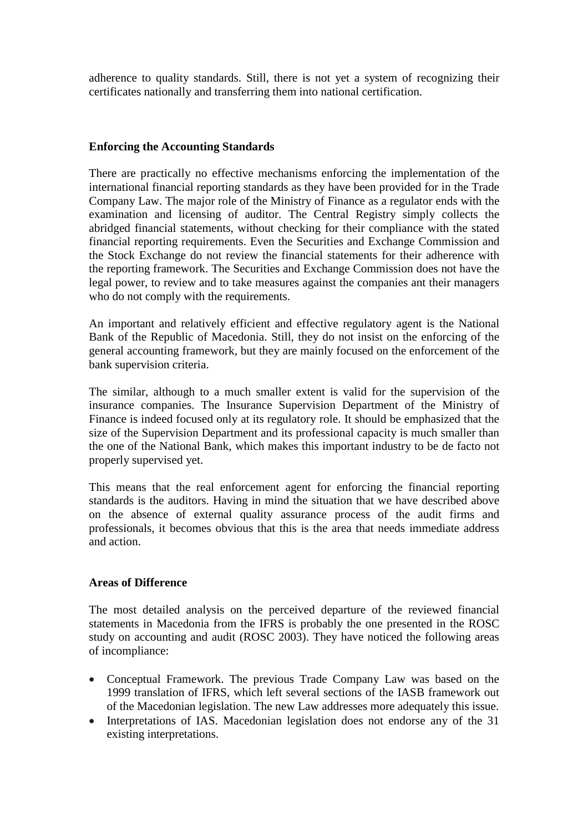adherence to quality standards. Still, there is not yet a system of recognizing their certificates nationally and transferring them into national certification.

### **Enforcing the Accounting Standards**

There are practically no effective mechanisms enforcing the implementation of the international financial reporting standards as they have been provided for in the Trade Company Law. The major role of the Ministry of Finance as a regulator ends with the examination and licensing of auditor. The Central Registry simply collects the abridged financial statements, without checking for their compliance with the stated financial reporting requirements. Even the Securities and Exchange Commission and the Stock Exchange do not review the financial statements for their adherence with the reporting framework. The Securities and Exchange Commission does not have the legal power, to review and to take measures against the companies ant their managers who do not comply with the requirements.

An important and relatively efficient and effective regulatory agent is the National Bank of the Republic of Macedonia. Still, they do not insist on the enforcing of the general accounting framework, but they are mainly focused on the enforcement of the bank supervision criteria.

The similar, although to a much smaller extent is valid for the supervision of the insurance companies. The Insurance Supervision Department of the Ministry of Finance is indeed focused only at its regulatory role. It should be emphasized that the size of the Supervision Department and its professional capacity is much smaller than the one of the National Bank, which makes this important industry to be de facto not properly supervised yet.

This means that the real enforcement agent for enforcing the financial reporting standards is the auditors. Having in mind the situation that we have described above on the absence of external quality assurance process of the audit firms and professionals, it becomes obvious that this is the area that needs immediate address and action.

# **Areas of Difference**

The most detailed analysis on the perceived departure of the reviewed financial statements in Macedonia from the IFRS is probably the one presented in the ROSC study on accounting and audit (ROSC 2003). They have noticed the following areas of incompliance:

- Conceptual Framework. The previous Trade Company Law was based on the 1999 translation of IFRS, which left several sections of the IASB framework out of the Macedonian legislation. The new Law addresses more adequately this issue.
- Interpretations of IAS. Macedonian legislation does not endorse any of the 31 existing interpretations.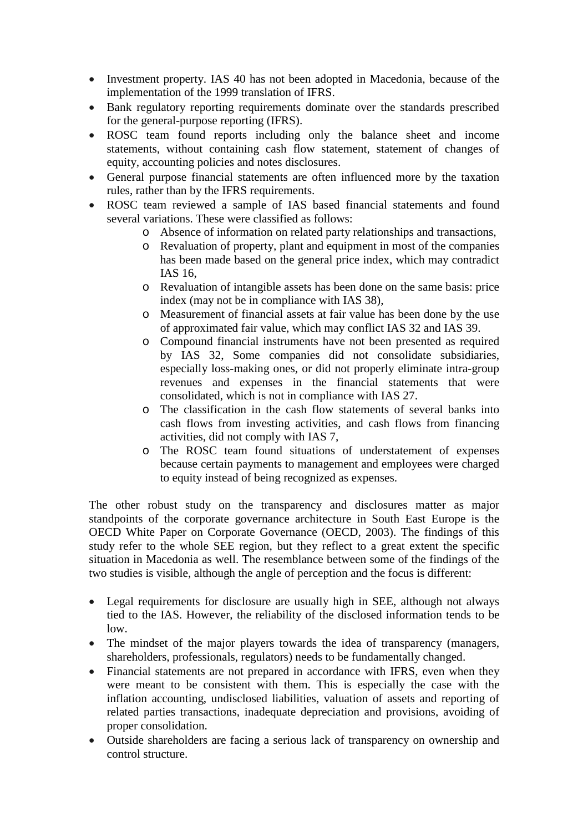- Investment property. IAS 40 has not been adopted in Macedonia, because of the implementation of the 1999 translation of IFRS.
- Bank regulatory reporting requirements dominate over the standards prescribed for the general-purpose reporting (IFRS).
- ROSC team found reports including only the balance sheet and income statements, without containing cash flow statement, statement of changes of equity, accounting policies and notes disclosures.
- General purpose financial statements are often influenced more by the taxation rules, rather than by the IFRS requirements.
- ROSC team reviewed a sample of IAS based financial statements and found several variations. These were classified as follows:
	- o Absence of information on related party relationships and transactions,
	- o Revaluation of property, plant and equipment in most of the companies has been made based on the general price index, which may contradict IAS 16,
	- o Revaluation of intangible assets has been done on the same basis: price index (may not be in compliance with IAS 38),
	- o Measurement of financial assets at fair value has been done by the use of approximated fair value, which may conflict IAS 32 and IAS 39.
	- o Compound financial instruments have not been presented as required by IAS 32, Some companies did not consolidate subsidiaries, especially loss-making ones, or did not properly eliminate intra-group revenues and expenses in the financial statements that were consolidated, which is not in compliance with IAS 27.
	- o The classification in the cash flow statements of several banks into cash flows from investing activities, and cash flows from financing activities, did not comply with IAS 7,
	- o The ROSC team found situations of understatement of expenses because certain payments to management and employees were charged to equity instead of being recognized as expenses.

The other robust study on the transparency and disclosures matter as major standpoints of the corporate governance architecture in South East Europe is the OECD White Paper on Corporate Governance (OECD, 2003). The findings of this study refer to the whole SEE region, but they reflect to a great extent the specific situation in Macedonia as well. The resemblance between some of the findings of the two studies is visible, although the angle of perception and the focus is different:

- Legal requirements for disclosure are usually high in SEE, although not always tied to the IAS. However, the reliability of the disclosed information tends to be low.
- The mindset of the major players towards the idea of transparency (managers, shareholders, professionals, regulators) needs to be fundamentally changed.
- Financial statements are not prepared in accordance with IFRS, even when they were meant to be consistent with them. This is especially the case with the inflation accounting, undisclosed liabilities, valuation of assets and reporting of related parties transactions, inadequate depreciation and provisions, avoiding of proper consolidation.
- Outside shareholders are facing a serious lack of transparency on ownership and control structure.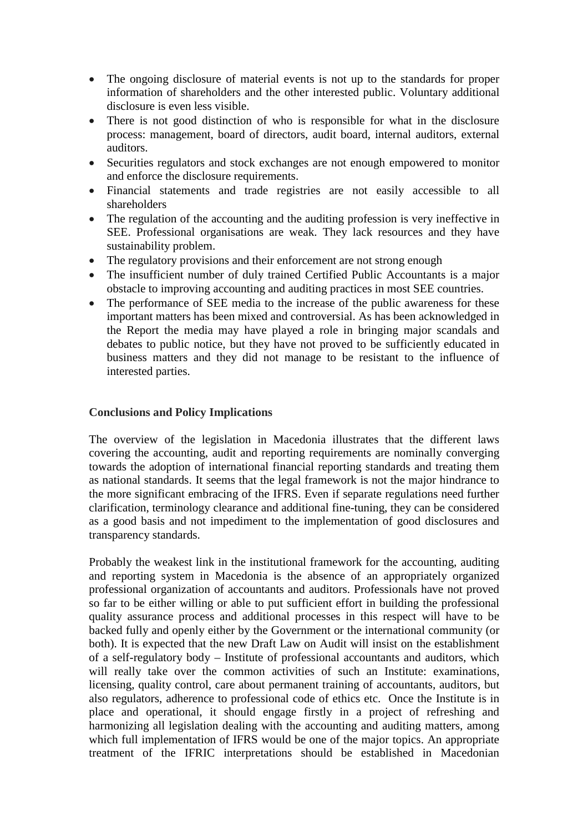- The ongoing disclosure of material events is not up to the standards for proper information of shareholders and the other interested public. Voluntary additional disclosure is even less visible.
- There is not good distinction of who is responsible for what in the disclosure process: management, board of directors, audit board, internal auditors, external auditors.
- Securities regulators and stock exchanges are not enough empowered to monitor and enforce the disclosure requirements.
- Financial statements and trade registries are not easily accessible to all shareholders
- The regulation of the accounting and the auditing profession is very ineffective in SEE. Professional organisations are weak. They lack resources and they have sustainability problem.
- The regulatory provisions and their enforcement are not strong enough
- The insufficient number of duly trained Certified Public Accountants is a major obstacle to improving accounting and auditing practices in most SEE countries.
- The performance of SEE media to the increase of the public awareness for these important matters has been mixed and controversial. As has been acknowledged in the Report the media may have played a role in bringing major scandals and debates to public notice, but they have not proved to be sufficiently educated in business matters and they did not manage to be resistant to the influence of interested parties.

### **Conclusions and Policy Implications**

The overview of the legislation in Macedonia illustrates that the different laws covering the accounting, audit and reporting requirements are nominally converging towards the adoption of international financial reporting standards and treating them as national standards. It seems that the legal framework is not the major hindrance to the more significant embracing of the IFRS. Even if separate regulations need further clarification, terminology clearance and additional fine-tuning, they can be considered as a good basis and not impediment to the implementation of good disclosures and transparency standards.

Probably the weakest link in the institutional framework for the accounting, auditing and reporting system in Macedonia is the absence of an appropriately organized professional organization of accountants and auditors. Professionals have not proved so far to be either willing or able to put sufficient effort in building the professional quality assurance process and additional processes in this respect will have to be backed fully and openly either by the Government or the international community (or both). It is expected that the new Draft Law on Audit will insist on the establishment of a self-regulatory body – Institute of professional accountants and auditors, which will really take over the common activities of such an Institute: examinations, licensing, quality control, care about permanent training of accountants, auditors, but also regulators, adherence to professional code of ethics etc. Once the Institute is in place and operational, it should engage firstly in a project of refreshing and harmonizing all legislation dealing with the accounting and auditing matters, among which full implementation of IFRS would be one of the major topics. An appropriate treatment of the IFRIC interpretations should be established in Macedonian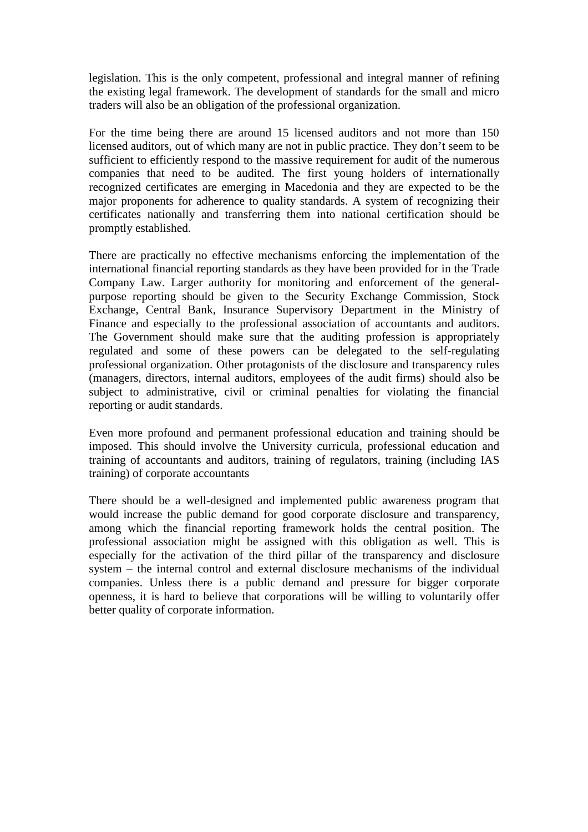legislation. This is the only competent, professional and integral manner of refining the existing legal framework. The development of standards for the small and micro traders will also be an obligation of the professional organization.

For the time being there are around 15 licensed auditors and not more than 150 licensed auditors, out of which many are not in public practice. They don't seem to be sufficient to efficiently respond to the massive requirement for audit of the numerous companies that need to be audited. The first young holders of internationally recognized certificates are emerging in Macedonia and they are expected to be the major proponents for adherence to quality standards. A system of recognizing their certificates nationally and transferring them into national certification should be promptly established.

There are practically no effective mechanisms enforcing the implementation of the international financial reporting standards as they have been provided for in the Trade Company Law. Larger authority for monitoring and enforcement of the generalpurpose reporting should be given to the Security Exchange Commission, Stock Exchange, Central Bank, Insurance Supervisory Department in the Ministry of Finance and especially to the professional association of accountants and auditors. The Government should make sure that the auditing profession is appropriately regulated and some of these powers can be delegated to the self-regulating professional organization. Other protagonists of the disclosure and transparency rules (managers, directors, internal auditors, employees of the audit firms) should also be subject to administrative, civil or criminal penalties for violating the financial reporting or audit standards.

Even more profound and permanent professional education and training should be imposed. This should involve the University curricula, professional education and training of accountants and auditors, training of regulators, training (including IAS training) of corporate accountants

There should be a well-designed and implemented public awareness program that would increase the public demand for good corporate disclosure and transparency, among which the financial reporting framework holds the central position. The professional association might be assigned with this obligation as well. This is especially for the activation of the third pillar of the transparency and disclosure system – the internal control and external disclosure mechanisms of the individual companies. Unless there is a public demand and pressure for bigger corporate openness, it is hard to believe that corporations will be willing to voluntarily offer better quality of corporate information.